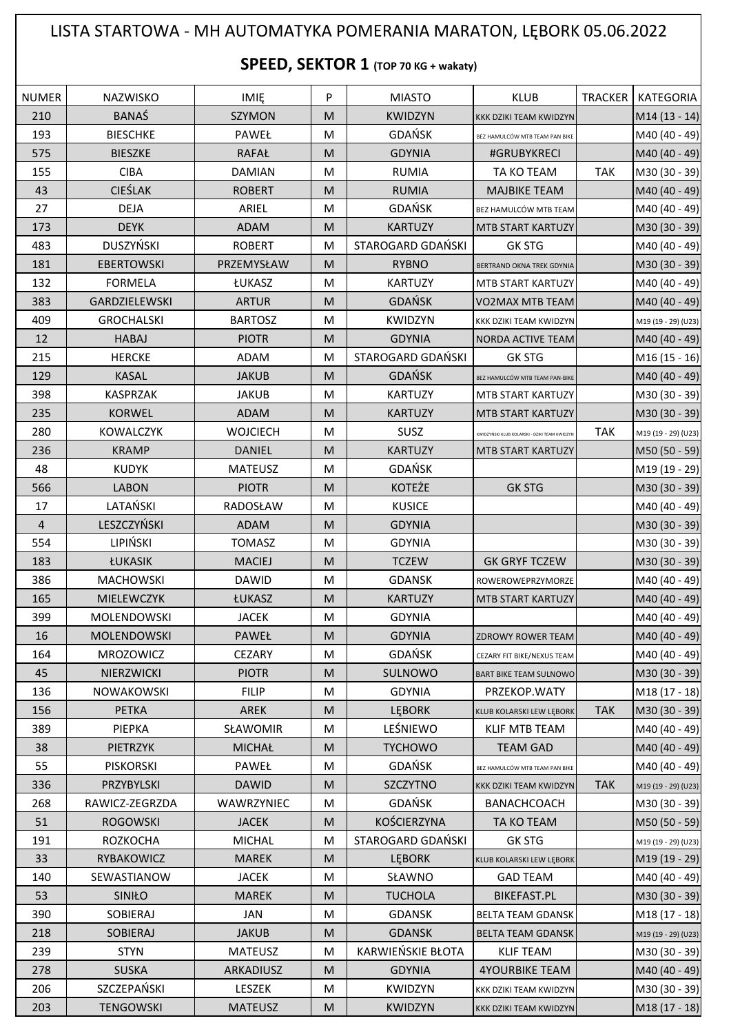## LISTA STARTOWA - MH AUTOMATYKA POMERANIA MARATON, LĘBORK 05.06.2022

## **SPEED, SEKTOR 1 (TOP 70 KG + wakaty)**

| <b>NUMER</b>   | <b>NAZWISKO</b>      | <b>IMIE</b>     | P | <b>MIASTO</b>     | <b>KLUB</b>                                   | <b>TRACKER</b> | <b>KATEGORIA</b>          |
|----------------|----------------------|-----------------|---|-------------------|-----------------------------------------------|----------------|---------------------------|
| 210            | <b>BANAŚ</b>         | <b>SZYMON</b>   | M | <b>KWIDZYN</b>    | KKK DZIKI TEAM KWIDZYN                        |                | $M14(13 - 14)$            |
| 193            | <b>BIESCHKE</b>      | PAWEŁ           | M | <b>GDAŃSK</b>     | BEZ HAMULCÓW MTB TEAM PAN BIKE                |                | M40 (40 - 49)             |
| 575            | <b>BIESZKE</b>       | <b>RAFAŁ</b>    | M | <b>GDYNIA</b>     | #GRUBYKRECI                                   |                | M40 (40 - 49)             |
| 155            | <b>CIBA</b>          | <b>DAMIAN</b>   | M | <b>RUMIA</b>      | TA KO TEAM                                    | <b>TAK</b>     | M30 (30 - 39)             |
| 43             | <b>CIEŚLAK</b>       | <b>ROBERT</b>   | M | <b>RUMIA</b>      | <b>MAJBIKE TEAM</b>                           |                | M40 (40 - 49)             |
| 27             | <b>DEJA</b>          | ARIEL           | M | <b>GDAŃSK</b>     | BEZ HAMULCÓW MTB TEAM                         |                | M40 (40 - 49)             |
| 173            | <b>DEYK</b>          | ADAM            | M | <b>KARTUZY</b>    | <b>MTB START KARTUZY</b>                      |                | M30 (30 - 39)             |
| 483            | <b>DUSZYŃSKI</b>     | <b>ROBERT</b>   | M | STAROGARD GDAŃSKI | <b>GK STG</b>                                 |                | M40 (40 - 49)             |
| 181            | <b>EBERTOWSKI</b>    | PRZEMYSŁAW      | M | <b>RYBNO</b>      | BERTRAND OKNA TREK GDYNIA                     |                | M30 (30 - 39)             |
| 132            | <b>FORMELA</b>       | ŁUKASZ          | M | <b>KARTUZY</b>    | MTB START KARTUZY                             |                | M40 (40 - 49)             |
| 383            | <b>GARDZIELEWSKI</b> | <b>ARTUR</b>    | M | <b>GDAŃSK</b>     | VO2MAX MTB TEAM                               |                | M40 (40 - 49)             |
| 409            | <b>GROCHALSKI</b>    | <b>BARTOSZ</b>  | M | <b>KWIDZYN</b>    | KKK DZIKI TEAM KWIDZYN                        |                | M19 (19 - 29) (U23)       |
| 12             | <b>HABAJ</b>         | <b>PIOTR</b>    | M | <b>GDYNIA</b>     | <b>NORDA ACTIVE TEAM</b>                      |                | M40 (40 - 49)             |
| 215            | <b>HERCKE</b>        | ADAM            | M | STAROGARD GDAŃSKI | <b>GK STG</b>                                 |                | M <sub>16</sub> (15 - 16) |
| 129            | <b>KASAL</b>         | <b>JAKUB</b>    | M | <b>GDAŃSK</b>     | BEZ HAMULCÓW MTB TEAM PAN-BIKE                |                | M40 (40 - 49)             |
| 398            | <b>KASPRZAK</b>      | <b>JAKUB</b>    | M | <b>KARTUZY</b>    | <b>MTB START KARTUZY</b>                      |                | M30 (30 - 39)             |
| 235            | <b>KORWEL</b>        | ADAM            | M | <b>KARTUZY</b>    | MTB START KARTUZY                             |                | M30 (30 - 39)             |
| 280            | <b>KOWALCZYK</b>     | <b>WOJCIECH</b> | M | SUSZ              | KWIDZYŃSKI KLUB KOLARSKI - DZIKI TEAM KWIDZYN | <b>TAK</b>     | M19 (19 - 29) (U23)       |
| 236            | <b>KRAMP</b>         | <b>DANIEL</b>   | M | <b>KARTUZY</b>    | <b>MTB START KARTUZY</b>                      |                | M50 (50 - 59)             |
| 48             | <b>KUDYK</b>         | <b>MATEUSZ</b>  | M | <b>GDAŃSK</b>     |                                               |                | M19 (19 - 29)             |
| 566            | <b>LABON</b>         | <b>PIOTR</b>    | M | <b>KOTEŻE</b>     | <b>GK STG</b>                                 |                | M30 (30 - 39)             |
| 17             | LATAŃSKI             | RADOSŁAW        | M | <b>KUSICE</b>     |                                               |                | M40 (40 - 49)             |
| $\overline{4}$ | LESZCZYŃSKI          | ADAM            | M | <b>GDYNIA</b>     |                                               |                | M30 (30 - 39)             |
| 554            | LIPIŃSKI             | <b>TOMASZ</b>   | M | <b>GDYNIA</b>     |                                               |                | M30 (30 - 39)             |
| 183            | ŁUKASIK              | <b>MACIEJ</b>   | M | <b>TCZEW</b>      | <b>GK GRYF TCZEW</b>                          |                | M30 (30 - 39)             |
| 386            | <b>MACHOWSKI</b>     | <b>DAWID</b>    | M | <b>GDANSK</b>     | ROWEROWEPRZYMORZE                             |                | M40 (40 - 49)             |
| 165            | MIELEWCZYK           | ŁUKASZ          | M | <b>KARTUZY</b>    | MTB START KARTUZY                             |                | M40 (40 - 49)             |
| 399            | MOLENDOWSKI          | <b>JACEK</b>    | M | <b>GDYNIA</b>     |                                               |                | M40 (40 - 49)             |
| 16             | MOLENDOWSKI          | PAWEŁ           | M | <b>GDYNIA</b>     | <b>ZDROWY ROWER TEAM</b>                      |                | M40 (40 - 49)             |
| 164            | MROZOWICZ            | CEZARY          | M | <b>GDAŃSK</b>     | CEZARY FIT BIKE/NEXUS TEAM                    |                | M40 (40 - 49)             |
| 45             | NIERZWICKI           | <b>PIOTR</b>    | M | SULNOWO           | <b>BART BIKE TEAM SULNOWO</b>                 |                | M30 (30 - 39)             |
| 136            | <b>NOWAKOWSKI</b>    | <b>FILIP</b>    | М | <b>GDYNIA</b>     | PRZEKOP.WATY                                  |                | M18 (17 - 18)             |
| 156            | <b>PETKA</b>         | <b>AREK</b>     | M | <b>LEBORK</b>     | KLUB KOLARSKI LEW LEBORK                      | <b>TAK</b>     | M30 (30 - 39)             |
| 389            | PIEPKA               | SŁAWOMIR        | М | LEŚNIEWO          | <b>KLIF MTB TEAM</b>                          |                | M40 (40 - 49)             |
| 38             | <b>PIETRZYK</b>      | <b>MICHAŁ</b>   | M | <b>TYCHOWO</b>    | <b>TEAM GAD</b>                               |                | M40 (40 - 49)             |
| 55             | <b>PISKORSKI</b>     | PAWEŁ           | М | <b>GDAŃSK</b>     | BEZ HAMULCÓW MTB TEAM PAN BIKE                |                | M40 (40 - 49)             |
| 336            | PRZYBYLSKI           | <b>DAWID</b>    | M | <b>SZCZYTNO</b>   | KKK DZIKI TEAM KWIDZYN                        | <b>TAK</b>     | M19 (19 - 29) (U23)       |
| 268            | RAWICZ-ZEGRZDA       | WAWRZYNIEC      | M | <b>GDAŃSK</b>     | BANACHCOACH                                   |                | M30 (30 - 39)             |
| 51             | <b>ROGOWSKI</b>      | <b>JACEK</b>    | M | KOŚCIERZYNA       | TA KO TEAM                                    |                | M50 (50 - 59)             |
| 191            | <b>ROZKOCHA</b>      | <b>MICHAL</b>   | М | STAROGARD GDAŃSKI | <b>GK STG</b>                                 |                | M19 (19 - 29) (U23)       |
| 33             | <b>RYBAKOWICZ</b>    | <b>MAREK</b>    | M | <b>LEBORK</b>     | KLUB KOLARSKI LEW LĘBORK                      |                | M19 (19 - 29)             |
| 140            | SEWASTIANOW          | <b>JACEK</b>    | M | SŁAWNO            | <b>GAD TEAM</b>                               |                | M40 (40 - 49)             |
| 53             | SINIŁO               | <b>MAREK</b>    | M | <b>TUCHOLA</b>    | <b>BIKEFAST.PL</b>                            |                | M30 (30 - 39)             |
| 390            | SOBIERAJ             | <b>JAN</b>      | M | <b>GDANSK</b>     | <b>BELTA TEAM GDANSK</b>                      |                | M18 (17 - 18)             |
| 218            | <b>SOBIERAJ</b>      | <b>JAKUB</b>    | M | <b>GDANSK</b>     | <b>BELTA TEAM GDANSK</b>                      |                | M19 (19 - 29) (U23)       |
| 239            | <b>STYN</b>          | <b>MATEUSZ</b>  | M | KARWIEŃSKIE BŁOTA | <b>KLIF TEAM</b>                              |                | M30 (30 - 39)             |
| 278            | <b>SUSKA</b>         | ARKADIUSZ       | M | <b>GDYNIA</b>     | <b>4YOURBIKE TEAM</b>                         |                | M40 (40 - 49)             |
| 206            | SZCZEPAŃSKI          | LESZEK          | M | KWIDZYN           | KKK DZIKI TEAM KWIDZYN                        |                | M30 (30 - 39)             |
| 203            | <b>TENGOWSKI</b>     | <b>MATEUSZ</b>  | M | <b>KWIDZYN</b>    | KKK DZIKI TEAM KWIDZYN                        |                | M18 (17 - 18)             |